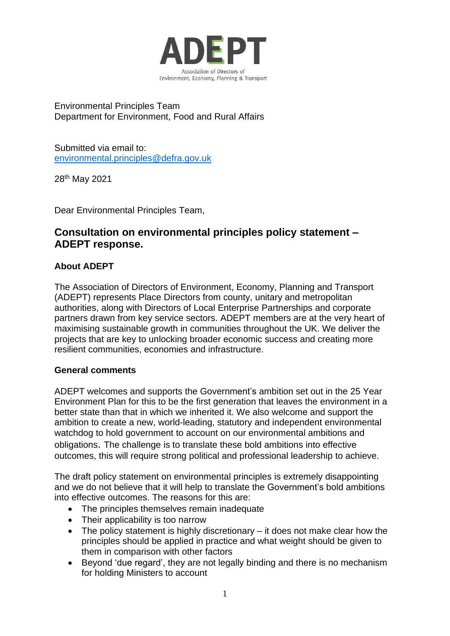

Environmental Principles Team Department for Environment, Food and Rural Affairs

Submitted via email to: [environmental.principles@defra.gov.uk](mailto:environmental.principles@defra.gov.uk)

28th May 2021

Dear Environmental Principles Team,

# **Consultation on environmental principles policy statement – ADEPT response.**

# **About ADEPT**

The Association of Directors of Environment, Economy, Planning and Transport (ADEPT) represents Place Directors from county, unitary and metropolitan authorities, along with Directors of Local Enterprise Partnerships and corporate partners drawn from key service sectors. ADEPT members are at the very heart of maximising sustainable growth in communities throughout the UK. We deliver the projects that are key to unlocking broader economic success and creating more resilient communities, economies and infrastructure.

#### **General comments**

ADEPT welcomes and supports the Government's ambition set out in the 25 Year Environment Plan for this to be the first generation that leaves the environment in a better state than that in which we inherited it. We also welcome and support the ambition to create a new, world-leading, statutory and independent environmental watchdog to hold government to account on our environmental ambitions and obligations. The challenge is to translate these bold ambitions into effective outcomes, this will require strong political and professional leadership to achieve.

The draft policy statement on environmental principles is extremely disappointing and we do not believe that it will help to translate the Government's bold ambitions into effective outcomes. The reasons for this are:

- The principles themselves remain inadequate
- Their applicability is too narrow
- The policy statement is highly discretionary it does not make clear how the principles should be applied in practice and what weight should be given to them in comparison with other factors
- Beyond 'due regard', they are not legally binding and there is no mechanism for holding Ministers to account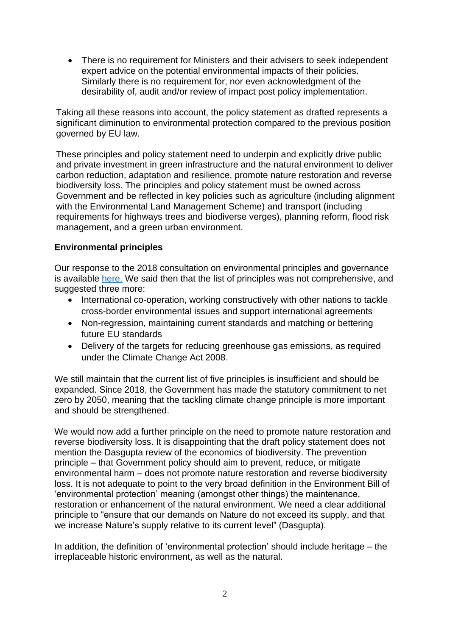• There is no requirement for Ministers and their advisers to seek independent expert advice on the potential environmental impacts of their policies. Similarly there is no requirement for, nor even acknowledgment of the desirability of, audit and/or review of impact post policy implementation.

Taking all these reasons into account, the policy statement as drafted represents a significant diminution to environmental protection compared to the previous position governed by EU law.

These principles and policy statement need to underpin and explicitly drive public and private investment in green infrastructure and the natural environment to deliver carbon reduction, adaptation and resilience, promote nature restoration and reverse biodiversity loss. The principles and policy statement must be owned across Government and be reflected in key policies such as agriculture (including alignment with the Environmental Land Management Scheme) and transport (including requirements for highways trees and biodiverse verges), planning reform, flood risk management, and a green urban environment.

# **Environmental principles**

Our response to the 2018 consultation on environmental principles and governance is available [here.](https://www.adeptnet.org.uk/documents/response-environmental-principles-governance-consultation) We said then that the list of principles was not comprehensive, and suggested three more:

- International co-operation, working constructively with other nations to tackle cross-border environmental issues and support international agreements
- Non-regression, maintaining current standards and matching or bettering future EU standards
- Delivery of the targets for reducing greenhouse gas emissions, as required under the Climate Change Act 2008.

We still maintain that the current list of five principles is insufficient and should be expanded. Since 2018, the Government has made the statutory commitment to net zero by 2050, meaning that the tackling climate change principle is more important and should be strengthened.

We would now add a further principle on the need to promote nature restoration and reverse biodiversity loss. It is disappointing that the draft policy statement does not mention the Dasgupta review of the economics of biodiversity. The prevention principle – that Government policy should aim to prevent, reduce, or mitigate environmental harm – does not promote nature restoration and reverse biodiversity loss. It is not adequate to point to the very broad definition in the Environment Bill of 'environmental protection' meaning (amongst other things) the maintenance, restoration or enhancement of the natural environment. We need a clear additional principle to "ensure that our demands on Nature do not exceed its supply, and that we increase Nature's supply relative to its current level" (Dasgupta).

In addition, the definition of 'environmental protection' should include heritage – the irreplaceable historic environment, as well as the natural.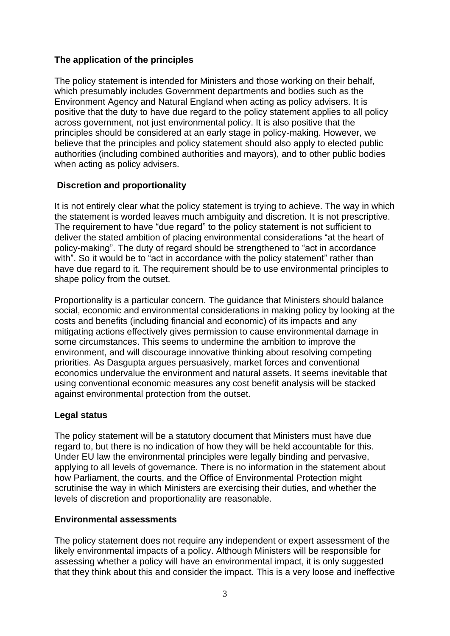## **The application of the principles**

The policy statement is intended for Ministers and those working on their behalf, which presumably includes Government departments and bodies such as the Environment Agency and Natural England when acting as policy advisers. It is positive that the duty to have due regard to the policy statement applies to all policy across government, not just environmental policy. It is also positive that the principles should be considered at an early stage in policy-making. However, we believe that the principles and policy statement should also apply to elected public authorities (including combined authorities and mayors), and to other public bodies when acting as policy advisers.

### **Discretion and proportionality**

It is not entirely clear what the policy statement is trying to achieve. The way in which the statement is worded leaves much ambiguity and discretion. It is not prescriptive. The requirement to have "due regard" to the policy statement is not sufficient to deliver the stated ambition of placing environmental considerations "at the heart of policy-making". The duty of regard should be strengthened to "act in accordance with". So it would be to "act in accordance with the policy statement" rather than have due regard to it. The requirement should be to use environmental principles to shape policy from the outset.

Proportionality is a particular concern. The guidance that Ministers should balance social, economic and environmental considerations in making policy by looking at the costs and benefits (including financial and economic) of its impacts and any mitigating actions effectively gives permission to cause environmental damage in some circumstances. This seems to undermine the ambition to improve the environment, and will discourage innovative thinking about resolving competing priorities. As Dasgupta argues persuasively, market forces and conventional economics undervalue the environment and natural assets. It seems inevitable that using conventional economic measures any cost benefit analysis will be stacked against environmental protection from the outset.

# **Legal status**

The policy statement will be a statutory document that Ministers must have due regard to, but there is no indication of how they will be held accountable for this. Under EU law the environmental principles were legally binding and pervasive, applying to all levels of governance. There is no information in the statement about how Parliament, the courts, and the Office of Environmental Protection might scrutinise the way in which Ministers are exercising their duties, and whether the levels of discretion and proportionality are reasonable.

#### **Environmental assessments**

The policy statement does not require any independent or expert assessment of the likely environmental impacts of a policy. Although Ministers will be responsible for assessing whether a policy will have an environmental impact, it is only suggested that they think about this and consider the impact. This is a very loose and ineffective